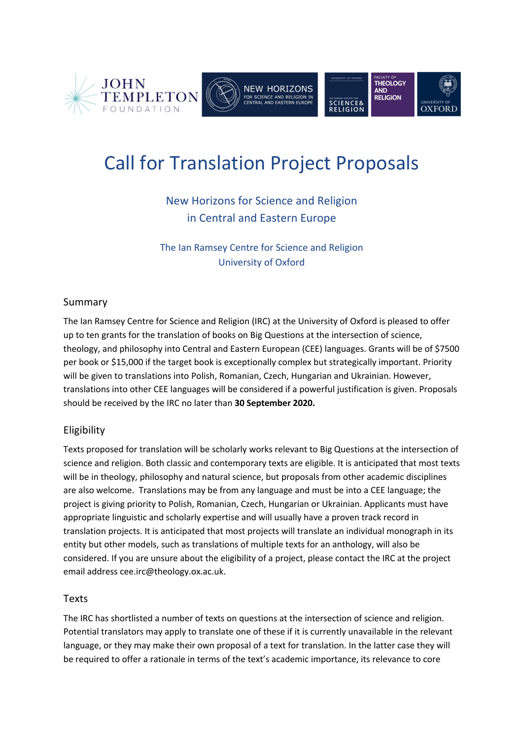

# Call for Translation Project Proposals

# New Horizons for Science and Religion in Central and Eastern Europe

The Ian Ramsey Centre for Science and Religion University of Oxford

# Summary

The Ian Ramsey Centre for Science and Religion (IRC) at the University of Oxford is pleased to offer up to ten grants for the translation of books on Big Questions at the intersection of science, theology, and philosophy into Central and Eastern European (CEE) languages. Grants will be of \$7500 per book or \$15,000 if the target book is exceptionally complex but strategically important. Priority will be given to translations into Polish, Romanian, Czech, Hungarian and Ukrainian. However, translations into other CEE languages will be considered if a powerful justification is given. Proposals should be received by the IRC no later than **30 September 2020.**

# Eligibility

Texts proposed for translation will be scholarly works relevant to Big Questions at the intersection of science and religion. Both classic and contemporary texts are eligible. It is anticipated that most texts will be in theology, philosophy and natural science, but proposals from other academic disciplines are also welcome. Translations may be from any language and must be into a CEE language; the project is giving priority to Polish, Romanian, Czech, Hungarian or Ukrainian. Applicants must have appropriate linguistic and scholarly expertise and will usually have a proven track record in translation projects. It is anticipated that most projects will translate an individual monograph in its entity but other models, such as translations of multiple texts for an anthology, will also be considered. If you are unsure about the eligibility of a project, please contact the IRC at the project email address cee.irc@theology.ox.ac.uk.

#### Texts

The IRC has shortlisted a number of texts on questions at the intersection of science and religion. Potential translators may apply to translate one of these if it is currently unavailable in the relevant language, or they may make their own proposal of a text for translation. In the latter case they will be required to offer a rationale in terms of the text's academic importance, its relevance to core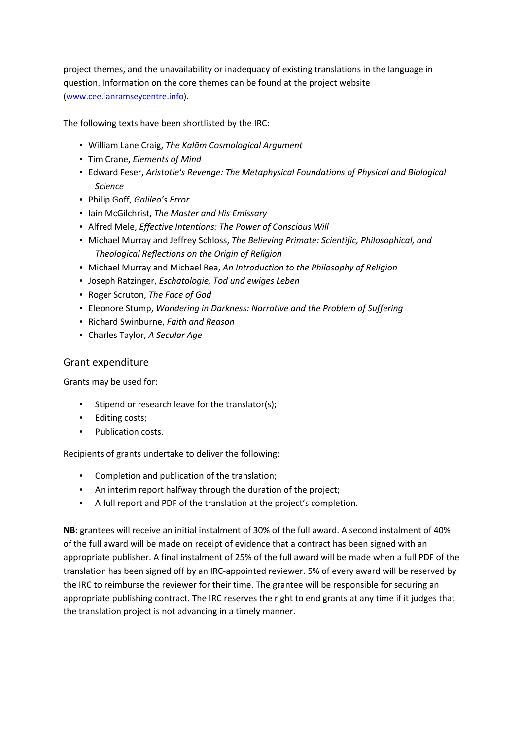project themes, and the unavailability or inadequacy of existing translations in the language in question. Information on the core themes can be found at the project website (www.cee.ianramseycentre.info).

The following texts have been shortlisted by the IRC:

- William Lane Craig, *The Kalām Cosmological Argument*
- Tim Crane, *Elements of Mind*
- Edward Feser, *Aristotle's Revenge: The Metaphysical Foundations of Physical and Biological Science*
- Philip Goff, *Galileo's Error*
- Iain McGilchrist, *The Master and His Emissary*
- Alfred Mele, *Effective Intentions: The Power of Conscious Will*
- Michael Murray and Jeffrey Schloss, *The Believing Primate: Scientific, Philosophical, and Theological Reflections on the Origin of Religion*
- Michael Murray and Michael Rea, *An Introduction to the Philosophy of Religion*
- Joseph Ratzinger, *Eschatologie, Tod und ewiges Leben*
- Roger Scruton, *The Face of God*
- Eleonore Stump, *Wandering in Darkness: Narrative and the Problem of Suffering*
- Richard Swinburne, *Faith and Reason*
- Charles Taylor, *A Secular Age*

#### Grant expenditure

Grants may be used for:

- Stipend or research leave for the translator(s);
- Editing costs;
- Publication costs.

Recipients of grants undertake to deliver the following:

- Completion and publication of the translation;
- **EXECT** An interim report halfway through the duration of the project;
- A full report and PDF of the translation at the project's completion.

**NB:** grantees will receive an initial instalment of 30% of the full award. A second instalment of 40% of the full award will be made on receipt of evidence that a contract has been signed with an appropriate publisher. A final instalment of 25% of the full award will be made when a full PDF of the translation has been signed off by an IRC-appointed reviewer. 5% of every award will be reserved by the IRC to reimburse the reviewer for their time. The grantee will be responsible for securing an appropriate publishing contract. The IRC reserves the right to end grants at any time if it judges that the translation project is not advancing in a timely manner.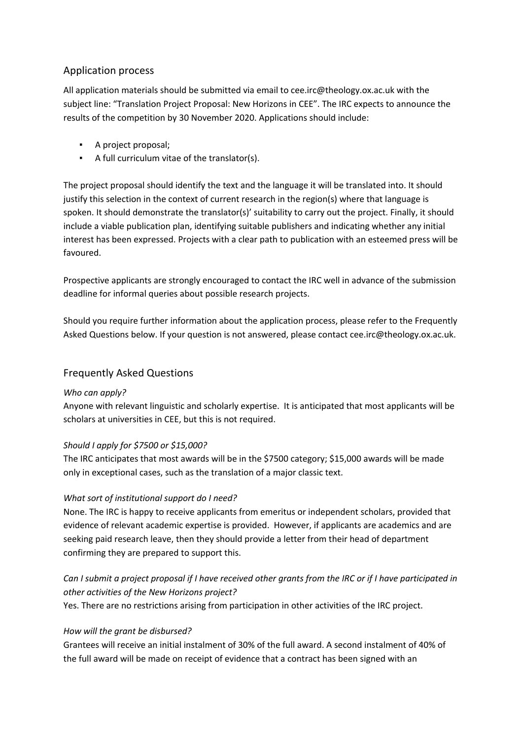# Application process

All application materials should be submitted via email to cee.irc@theology.ox.ac.uk with the subject line: "Translation Project Proposal: New Horizons in CEE". The IRC expects to announce the results of the competition by 30 November 2020. Applications should include:

- A project proposal;
- A full curriculum vitae of the translator(s).

The project proposal should identify the text and the language it will be translated into. It should justify this selection in the context of current research in the region(s) where that language is spoken. It should demonstrate the translator(s)' suitability to carry out the project. Finally, it should include a viable publication plan, identifying suitable publishers and indicating whether any initial interest has been expressed. Projects with a clear path to publication with an esteemed press will be favoured.

Prospective applicants are strongly encouraged to contact the IRC well in advance of the submission deadline for informal queries about possible research projects.

Should you require further information about the application process, please refer to the Frequently Asked Questions below. If your question is not answered, please contact cee.irc@theology.ox.ac.uk.

# Frequently Asked Questions

#### *Who can apply?*

Anyone with relevant linguistic and scholarly expertise. It is anticipated that most applicants will be scholars at universities in CEE, but this is not required.

# *Should I apply for \$7500 or \$15,000?*

The IRC anticipates that most awards will be in the \$7500 category; \$15,000 awards will be made only in exceptional cases, such as the translation of a major classic text.

# *What sort of institutional support do I need?*

None. The IRC is happy to receive applicants from emeritus or independent scholars, provided that evidence of relevant academic expertise is provided. However, if applicants are academics and are seeking paid research leave, then they should provide a letter from their head of department confirming they are prepared to support this.

# *Can I submit a project proposal if I have received other grants from the IRC or if I have participated in other activities of the New Horizons project?*

Yes. There are no restrictions arising from participation in other activities of the IRC project.

#### *How will the grant be disbursed?*

Grantees will receive an initial instalment of 30% of the full award. A second instalment of 40% of the full award will be made on receipt of evidence that a contract has been signed with an